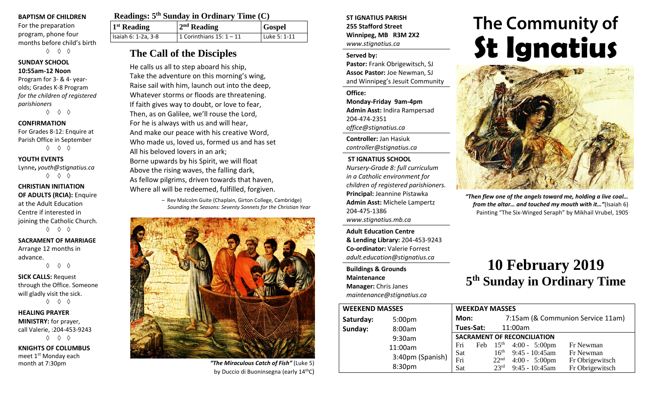#### **BAPTISM OF CHILDREN**

For the preparation program, phone four months before child's birth ◊ ◊ ◊

## **SUNDAY SCHOOL**

**10:55am-12 Noon** Program for 3- & 4- yearolds; Grades K-8 Program *for the children of registered parishioners*

◊ ◊ ◊

#### **CONFIRMATION**

For Grades 8-12: Enquire at Parish Office in September ◊ ◊ ◊

#### **YOUTH EVENTS**

Lynne**,** *youth@stignatius.ca* ◊ ◊ ◊

#### **CHRISTIAN INITIATION OF ADULTS (RCIA):** Enquire at the Adult Education Centre if interested in joining the Catholic Church. ◊ ◊ ◊

**SACRAMENT OF MARRIAGE** Arrange 12 months in advance.

◊ ◊ ◊

**SICK CALLS:** Request through the Office. Someone will gladly visit the sick. ◊ ◊ ◊

**HEALING PRAYER MINISTRY:** for prayer, call Valerie, :204-453-9243 ◊ ◊ ◊

**KNIGHTS OF COLUMBUS** meet 1<sup>st</sup> Monday each

| Readings: 5 <sup>th</sup> Sunday in Ordinary Time (C) |                           |               |  |  |  |  |
|-------------------------------------------------------|---------------------------|---------------|--|--|--|--|
| <sup>1st</sup> Reading                                | $2nd$ Reading             | <b>Gospel</b> |  |  |  |  |
| Isaiah 6: 1-2a, 3-8                                   | 1 Corinthians $15:1 - 11$ | Luke 5: 1-11  |  |  |  |  |

# **The Call of the Disciples**

He calls us all to step aboard his ship, Take the adventure on this morning's wing, Raise sail with him, launch out into the deep, Whatever storms or floods are threatening. If faith gives way to doubt, or love to fear, Then, as on Galilee, we'll rouse the Lord, For he is always with us and will hear, And make our peace with his creative Word, Who made us, loved us, formed us and has set All his beloved lovers in an ark; Borne upwards by his Spirit, we will float Above the rising waves, the falling dark, As fellow pilgrims, driven towards that haven, Where all will be redeemed, fulfilled, forgiven.

> – Rev Malcolm Guite (Chaplain, Girton College, Cambridge) *Sounding the Seasons: Seventy Sonnets for the Christian Year*



month at 7:30pm *"The Miraculous Catch of Fish"* (Luke 5) by Duccio di Buoninsegna (early 14thC)

#### **ST IGNATIUS PARISH 255 Stafford Street Winnipeg, MB R3M 2X2** *www.stignatius.ca*

#### **Served by:**

**Pastor:** Frank Obrigewitsch, SJ **Assoc Pastor:** Joe Newman, SJ and Winnipeg's Jesuit Community

**Office: Monday-Friday 9am-4pm Admin Asst:** Indira Rampersad 204-474-2351 *office@stignatius.ca*

**Controller:** Jan Hasiuk *controller@stignatius.ca*

#### **ST IGNATIUS SCHOOL**

*Nursery-Grade 8: full curriculum in a Catholic environment for children of registered parishioners.* **Principal:** Jeannine Pistawka **Admin Asst:** Michele Lampertz 204-475-1386 *www.stignatius.mb.ca*

**Adult Education Centre & Lending Library:** 204-453-9243 **Co-ordinator:** Valerie Forrest *adult.education@stignatius.ca*

**Buildings & Grounds Maintenance Manager:** Chris Janes *maintenance@stignatius.ca*

# The Community of **St Ignatius**



*"Then flew one of the angels toward me, holding a live coal… from the altar… and touched my mouth with it…"*(Isaiah 6) Painting "The Six-Winged Seraph" by Mikhail Vrubel, 1905

# **10 February 2019 5 th Sunday in Ordinary Time**

| <b>WEEKEND MASSES</b> |                    | <b>WEEKDAY MASSES</b>              |  |                  |                                    |                                   |
|-----------------------|--------------------|------------------------------------|--|------------------|------------------------------------|-----------------------------------|
| Saturday:             | 5:00 <sub>pm</sub> | Mon:                               |  |                  |                                    | 7:15am (& Communion Service 11am) |
| Sunday:               | 8:00am             | Tues-Sat:                          |  |                  | 11:00am                            |                                   |
|                       | 9:30am             | <b>SACRAMENT OF RECONCILIATION</b> |  |                  |                                    |                                   |
|                       | 11:00am            | Fri                                |  |                  | Feb $15^{\text{th}}$ 4:00 - 5:00pm | Fr Newman                         |
|                       | 3:40pm (Spanish)   | Sat                                |  |                  | $16th$ 9:45 - 10:45am              | Fr Newman                         |
|                       |                    | Fri                                |  | 22 <sup>nd</sup> | $4:00 - 5:00 \text{pm}$            | Fr Obrigewitsch                   |
|                       | 8:30pm             | Sat                                |  | 23 <sup>rd</sup> | $9:45 - 10:45$ am                  | Fr Obrigewitsch                   |